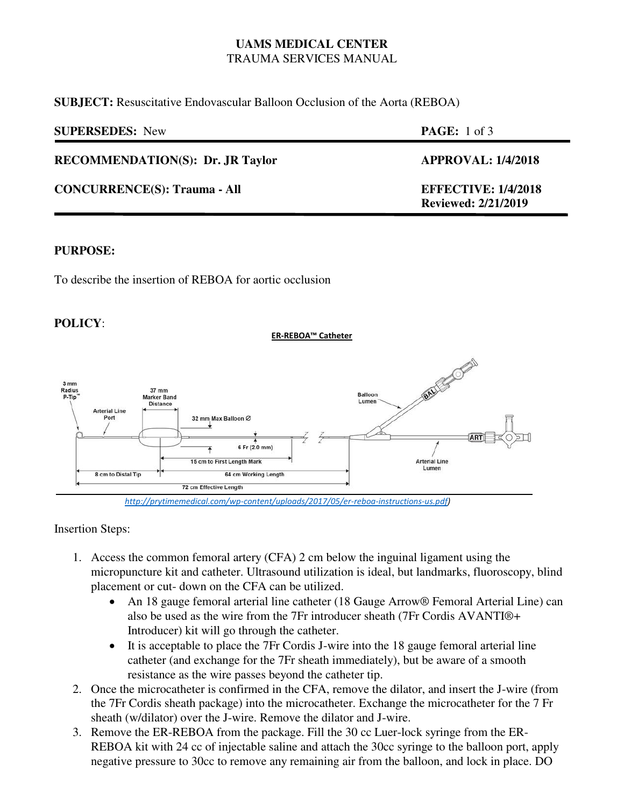## **UAMS MEDICAL CENTER**  TRAUMA SERVICES MANUAL

**SUBJECT:** Resuscitative Endovascular Balloon Occlusion of the Aorta (REBOA)

| <b>SUPERSEDES:</b> New                  | <b>PAGE:</b> 1 of 3                                      |
|-----------------------------------------|----------------------------------------------------------|
| <b>RECOMMENDATION(S): Dr. JR Taylor</b> | <b>APPROVAL: 1/4/2018</b>                                |
| <b>CONCURRENCE(S): Trauma - All</b>     | <b>EFFECTIVE: 1/4/2018</b><br><b>Reviewed: 2/21/2019</b> |

#### **PURPOSE:**

To describe the insertion of REBOA for aortic occlusion

### **POLICY**:

**ER-REBOA™ Catheter**



*[http://prytimemedical.com/wp-content/uploads/2017/05/er-reboa-instructions-us.pdf\)](http://prytimemedical.com/wp-content/uploads/2017/05/er-reboa-instructions-us.pdf)*

### Insertion Steps:

- 1. Access the common femoral artery (CFA) 2 cm below the inguinal ligament using the micropuncture kit and catheter. Ultrasound utilization is ideal, but landmarks, fluoroscopy, blind placement or cut- down on the CFA can be utilized.
	- An 18 gauge femoral arterial line catheter (18 Gauge Arrow® Femoral Arterial Line) can also be used as the wire from the 7Fr introducer sheath (7Fr Cordis AVANTI®+ Introducer) kit will go through the catheter.
	- It is acceptable to place the 7Fr Cordis J-wire into the 18 gauge femoral arterial line catheter (and exchange for the 7Fr sheath immediately), but be aware of a smooth resistance as the wire passes beyond the catheter tip.
- 2. Once the microcatheter is confirmed in the CFA, remove the dilator, and insert the J-wire (from the 7Fr Cordis sheath package) into the microcatheter. Exchange the microcatheter for the 7 Fr sheath (w/dilator) over the J-wire. Remove the dilator and J-wire.
- 3. Remove the ER-REBOA from the package. Fill the 30 cc Luer-lock syringe from the ER-REBOA kit with 24 cc of injectable saline and attach the 30cc syringe to the balloon port, apply negative pressure to 30cc to remove any remaining air from the balloon, and lock in place. DO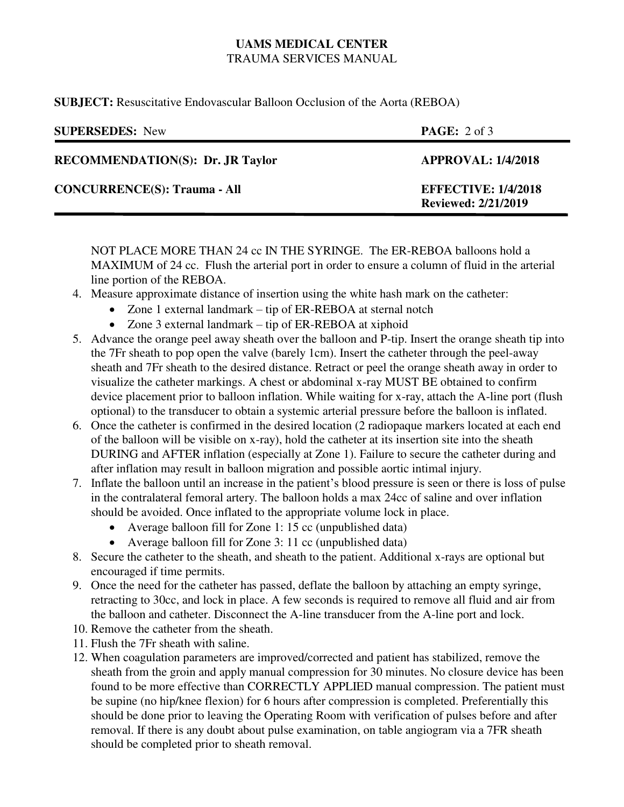# **UAMS MEDICAL CENTER**  TRAUMA SERVICES MANUAL

**SUBJECT:** Resuscitative Endovascular Balloon Occlusion of the Aorta (REBOA)

| <b>SUPERSEDES:</b> New                  | <b>PAGE:</b> $2 \text{ of } 3$                           |
|-----------------------------------------|----------------------------------------------------------|
| <b>RECOMMENDATION(S): Dr. JR Taylor</b> | <b>APPROVAL: 1/4/2018</b>                                |
| <b>CONCURRENCE(S): Trauma - All</b>     | <b>EFFECTIVE: 1/4/2018</b><br><b>Reviewed: 2/21/2019</b> |

NOT PLACE MORE THAN 24 cc IN THE SYRINGE. The ER-REBOA balloons hold a MAXIMUM of 24 cc. Flush the arterial port in order to ensure a column of fluid in the arterial line portion of the REBOA.

- 4. Measure approximate distance of insertion using the white hash mark on the catheter:
	- Zone 1 external landmark tip of ER-REBOA at sternal notch
	- Zone 3 external landmark tip of ER-REBOA at xiphoid
- 5. Advance the orange peel away sheath over the balloon and P-tip. Insert the orange sheath tip into the 7Fr sheath to pop open the valve (barely 1cm). Insert the catheter through the peel-away sheath and 7Fr sheath to the desired distance. Retract or peel the orange sheath away in order to visualize the catheter markings. A chest or abdominal x-ray MUST BE obtained to confirm device placement prior to balloon inflation. While waiting for x-ray, attach the A-line port (flush optional) to the transducer to obtain a systemic arterial pressure before the balloon is inflated.
- 6. Once the catheter is confirmed in the desired location (2 radiopaque markers located at each end of the balloon will be visible on x-ray), hold the catheter at its insertion site into the sheath DURING and AFTER inflation (especially at Zone 1). Failure to secure the catheter during and after inflation may result in balloon migration and possible aortic intimal injury.
- 7. Inflate the balloon until an increase in the patient's blood pressure is seen or there is loss of pulse in the contralateral femoral artery. The balloon holds a max 24cc of saline and over inflation should be avoided. Once inflated to the appropriate volume lock in place.
	- Average balloon fill for Zone 1: 15 cc (unpublished data)
	- Average balloon fill for Zone 3: 11 cc (unpublished data)
- 8. Secure the catheter to the sheath, and sheath to the patient. Additional x-rays are optional but encouraged if time permits.
- 9. Once the need for the catheter has passed, deflate the balloon by attaching an empty syringe, retracting to 30cc, and lock in place. A few seconds is required to remove all fluid and air from the balloon and catheter. Disconnect the A-line transducer from the A-line port and lock.
- 10. Remove the catheter from the sheath.
- 11. Flush the 7Fr sheath with saline.
- 12. When coagulation parameters are improved/corrected and patient has stabilized, remove the sheath from the groin and apply manual compression for 30 minutes. No closure device has been found to be more effective than CORRECTLY APPLIED manual compression. The patient must be supine (no hip/knee flexion) for 6 hours after compression is completed. Preferentially this should be done prior to leaving the Operating Room with verification of pulses before and after removal. If there is any doubt about pulse examination, on table angiogram via a 7FR sheath should be completed prior to sheath removal.